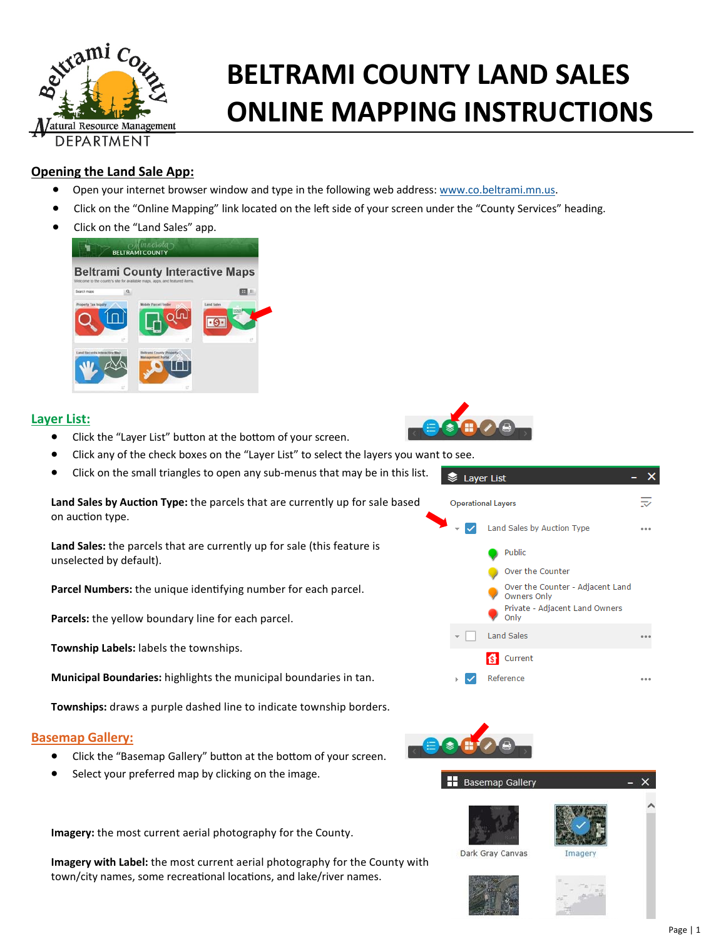

# **BELTRAMI COUNTY LAND ONLINE MAPPING INSTRUCTIONS**

# **Opening the Land Sale App:**

- **•** Open your internet browser window and type in the following web address: www.co.beltrami.mn.us.
- Click on the "Online Mapping" link located on the left side of your screen under the "County Services" heading.
- Click on the "Land Sales" app.



# **Layer List:**

- Click the "Layer List" button at the bottom of your screen.
- Click any of the check boxes on the "Layer List" to select the layers you want to see.
- Click on the small triangles to open any sub‐menus that may be in this list.

Land Sales by Auction Type: the parcels that are currently up for sale based on auction type.

**Land Sales:** the parcels that are currently up for sale (this feature is unselected by default).

Parcel Numbers: the unique identifying number for each parcel.

**Parcels:** the yellow boundary line for each parcel.

**Township Labels:** labels the townships.

**Municipal Boundaries:** highlights the municipal boundaries in tan.

**Townships:** draws a purple dashed line to indicate township borders.

### **Basemap Gallery:**

- Click the "Basemap Gallery" button at the bottom of your screen.
- Select your preferred map by clicking on the image.



Dark Gray Canvas







**Imagery:** the most current aerial photography for the County.

**Imagery with Label:** the most current aerial photography for the County with town/city names, some recreational locations, and lake/river names.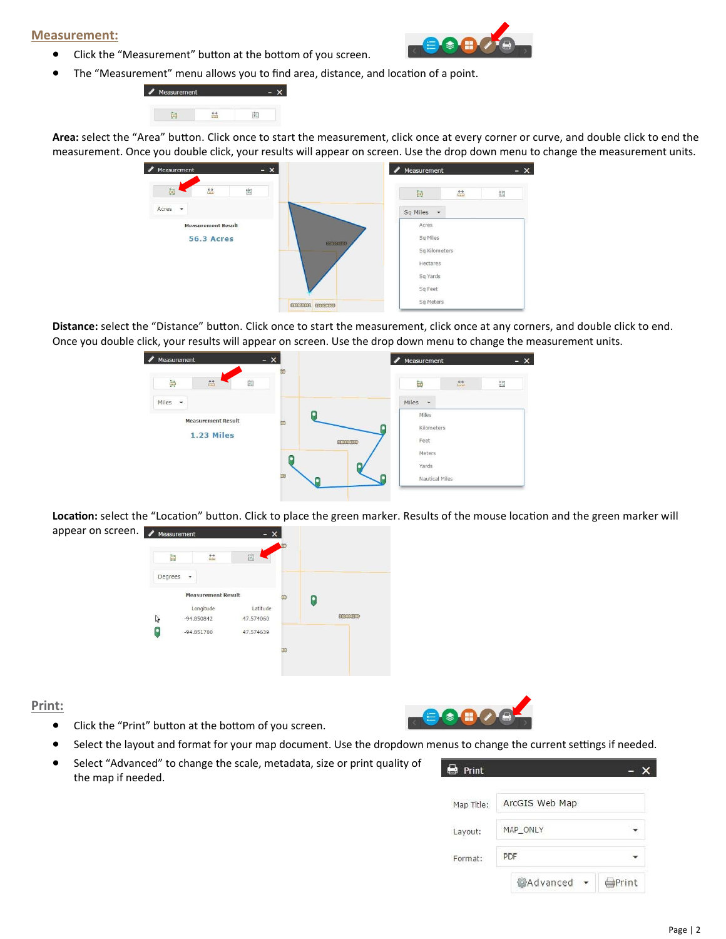#### **Measurement:**

• Click the "Measurement" button at the bottom of you screen.



• The "Measurement" menu allows you to find area, distance, and location of a point.



Area: select the "Area" button. Click once to start the measurement, click once at every corner or curve, and double click to end the measurement. Once you double click, your results will appear on screen. Use the drop down menu to change the measurement units.



Distance: select the "Distance" button. Click once to start the measurement, click once at any corners, and double click to end. Once you double click, your results will appear on screen. Use the drop down menu to change the measurement units.



Location: select the "Location" button. Click to place the green marker. Results of the mouse location and the green marker will appear on screen. **A** Measurement



#### **Print:**

- Click the "Print" button at the bottom of you screen.
- Select the layout and format for your map document. Use the dropdown menus to change the current settings if needed.
- Select "Advanced" to change the scale, metadata, size or print quality of the map if needed.

| ь<br>Print |                  |               |
|------------|------------------|---------------|
| Map Title: | ArcGIS Web Map   |               |
| Layout:    | MAP_ONLY         |               |
| Format:    | PDF              |               |
|            | <b>MAdvanced</b> | <b>OPrint</b> |

 $\odot$   $\oplus$   $\odot$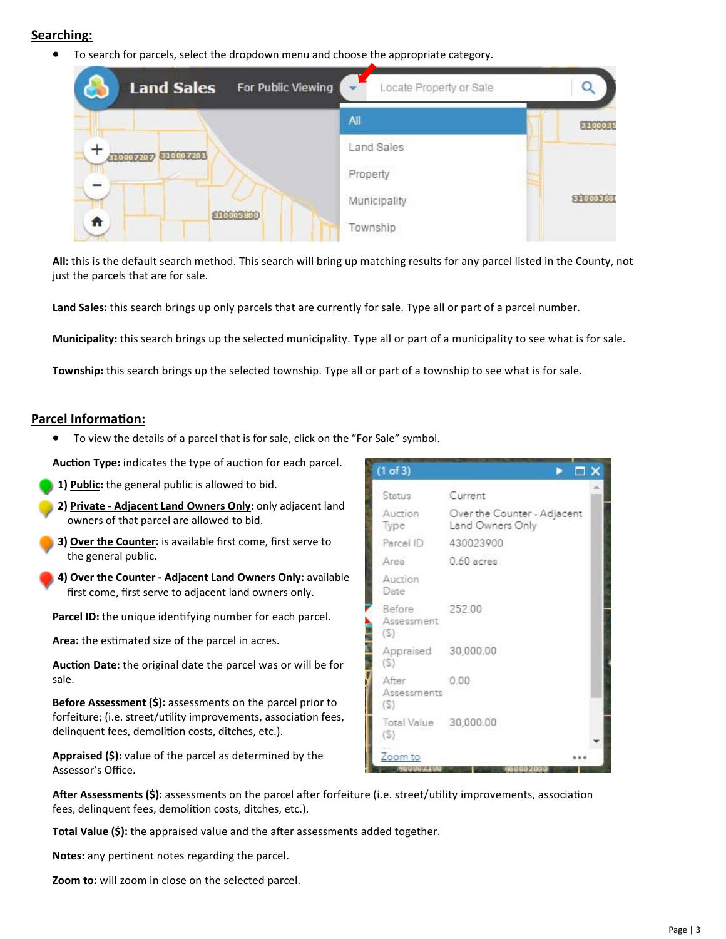# **Searching:**

To search for parcels, select the dropdown menu and choose the appropriate category.



**All:** this is the default search method. This search will bring up matching results for any parcel listed in the County, not just the parcels that are for sale.

**Land Sales:** this search brings up only parcels that are currently for sale. Type all or part of a parcel number.

**Municipality:** this search brings up the selected municipality. Type all or part of a municipality to see what is for sale.

**Township:** this search brings up the selected township. Type all or part of a township to see what is for sale.

#### **Parcel InformaƟon:**

To view the details of a parcel that is for sale, click on the "For Sale" symbol.

Auction Type: indicates the type of auction for each parcel.

- **1) Public:** the general public is allowed to bid.
- **2) Private ‐ Adjacent Land Owners Only:** only adjacent land owners of that parcel are allowed to bid.
- **3) Over the Counter:** is available first come, first serve to the general public.
- **4) Over the Counter ‐ Adjacent Land Owners Only:** available first come, first serve to adjacent land owners only.

**Parcel ID:** the unique identifying number for each parcel.

Area: the estimated size of the parcel in acres.

Auction Date: the original date the parcel was or will be for sale.

**Before Assessment (\$):** assessments on the parcel prior to forfeiture; (i.e. street/utility improvements, association fees, delinquent fees, demolition costs, ditches, etc.).

**Appraised (\$):** value of the parcel as determined by the Assessor's Office.

| $(1$ of 3)                   | $\mathsf{\Pi} \ \mathsf{X}$                     |  |
|------------------------------|-------------------------------------------------|--|
| <b>Status</b>                | Current                                         |  |
| Auction<br>Type              | Over the Counter - Adjacent<br>Land Owners Only |  |
| Parcel ID                    | 430023900                                       |  |
| Area                         | $0.60$ acres                                    |  |
| Auction<br>Date              |                                                 |  |
| Before<br>Assessment<br>(S)  | 252.00                                          |  |
| Appraised 30,000.00<br>(S)   |                                                 |  |
| After<br>Assessments<br>(S)  | 0.00                                            |  |
| Total Value 30,000.00<br>(5) |                                                 |  |
| Zoom to                      |                                                 |  |

After Assessments (\$): assessments on the parcel after forfeiture (i.e. street/utility improvements, association fees, delinquent fees, demolition costs, ditches, etc.).

**Total Value (\$):** the appraised value and the after assessments added together.

Notes: any pertinent notes regarding the parcel.

**Zoom to:** will zoom in close on the selected parcel.